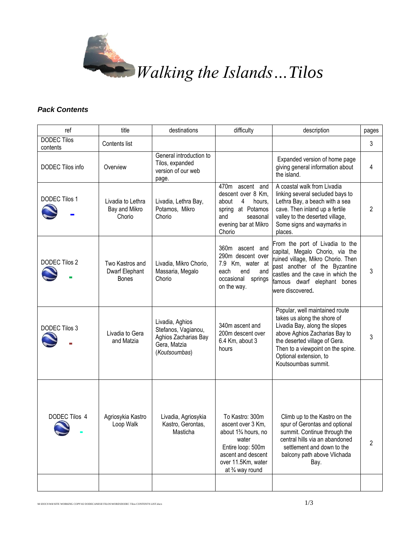

## *Pack Contents*

| ref                            | title                                             | destinations                                                                                    | difficulty                                                                                                                                                                          | description                                                                                                                                                                                                                                            | pages |
|--------------------------------|---------------------------------------------------|-------------------------------------------------------------------------------------------------|-------------------------------------------------------------------------------------------------------------------------------------------------------------------------------------|--------------------------------------------------------------------------------------------------------------------------------------------------------------------------------------------------------------------------------------------------------|-------|
| <b>DODEC Tilos</b><br>contents | Contents list                                     |                                                                                                 |                                                                                                                                                                                     |                                                                                                                                                                                                                                                        | 3     |
| DODEC Tilos info               | Overview                                          | General introduction to<br>Tilos, expanded<br>version of our web<br>page.                       |                                                                                                                                                                                     | Expanded version of home page<br>giving general information about<br>the island.                                                                                                                                                                       | 4     |
| <b>DODEC Tilos 1</b>           | Livadia to Lethra<br>Bay and Mikro<br>Chorio      | Livadia, Lethra Bay,<br>Potamos, Mikro<br>Chorio                                                | $470m$ ascent and<br>descent over 8 Km,<br>4<br>about<br>hours,<br>spring at Potamos<br>and<br>seasonal<br>evening bar at Mikro<br>Chorio                                           | A coastal walk from Livadia<br>linking several secluded bays to<br>Lethra Bay, a beach with a sea<br>cave. Then inland up a fertile<br>valley to the deserted village,<br>Some signs and waymarks in<br>places.                                        | 2     |
| DODEC Tilos 2                  | Two Kastros and<br>Dwarf Elephant<br><b>Bones</b> | Livadia, Mikro Chorio,<br>Massaria, Megalo<br>Chorio                                            | 360m ascent and<br>290m descent over<br>7.9 Km, water at<br>each<br>end<br>and<br>occasional<br>springs<br>on the way.                                                              | From the port of Livadia to the<br>capital, Megalo Chorio, via the<br>ruined village, Mikro Chorio. Then<br>past another of the Byzantine<br>castles and the cave in which the<br>famous dwarf elephant bones<br>were discovered.                      | 3     |
| DODEC Tilos 3                  | Livadia to Gera<br>and Matzia                     | Livadia, Aghios<br>Stefanos, Vagianou,<br>Aghios Zacharias Bay<br>Gera, Matzia<br>(Koutsoumbas) | 340m ascent and<br>200m descent over<br>6.4 Km, about 3<br>hours                                                                                                                    | Popular, well maintained route<br>takes us along the shore of<br>Livadia Bay, along the slopes<br>above Aghios Zacharias Bay to<br>the deserted village of Gera.<br>Then to a viewpoint on the spine.<br>Optional extension, to<br>Koutsoumbas summit. | 3     |
| DODEC Tilos 4                  | Agriosykia Kastro<br>Loop Walk                    | Livadia, Agriosykia<br>Kastro, Gerontas,<br>Masticha                                            | To Kastro: 300m<br>ascent over 3 Km,<br>about 1 <sup>3</sup> / <sub>4</sub> hours, no<br>water<br>Entire loop: 500m<br>ascent and descent<br>over 11.5Km, water<br>at 3/4 way round | Climb up to the Kastro on the<br>spur of Gerontas and optional<br>summit. Continue through the<br>central hills via an abandoned<br>settlement and down to the<br>balcony path above Vlichada<br>Bay.                                                  | 2     |
|                                |                                                   |                                                                                                 |                                                                                                                                                                                     |                                                                                                                                                                                                                                                        |       |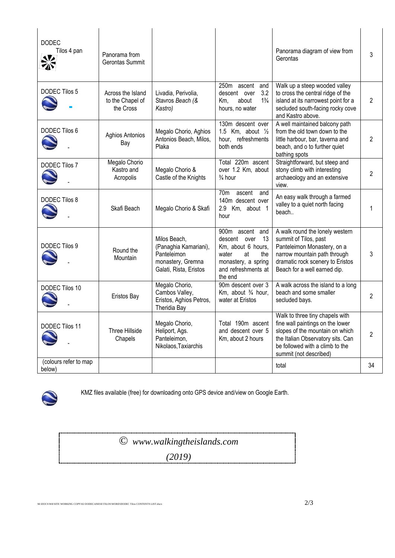| <b>DODEC</b><br>Tilos 4 pan<br>※ | Panorama from<br>Gerontas Summit                   |                                                                                                     |                                                                                                                                            | Panorama diagram of view from<br>Gerontas                                                                                                                                                                | 3  |
|----------------------------------|----------------------------------------------------|-----------------------------------------------------------------------------------------------------|--------------------------------------------------------------------------------------------------------------------------------------------|----------------------------------------------------------------------------------------------------------------------------------------------------------------------------------------------------------|----|
| <b>DODEC Tilos 5</b>             | Across the Island<br>to the Chapel of<br>the Cross | Livadia, Perivolia,<br>Stavros Beach (&<br>Kastro)                                                  | $250m$ ascent and<br>3.2<br>descent over<br>$1\frac{3}{4}$<br>about<br>Km,<br>hours, no water                                              | Walk up a steep wooded valley<br>to cross the central ridge of the<br>island at its narrowest point for a<br>secluded south-facing rocky cove<br>and Kastro above.                                       | 2  |
| DODEC Tilos 6                    | <b>Aghios Antonios</b><br>Bay                      | Megalo Chorio, Aghios<br>Antonios Beach, Milos,<br>Plaka                                            | 130m descent over<br>1.5 Km, about $\frac{1}{2}$<br>hour, refreshments<br>both ends                                                        | A well maintained balcony path<br>from the old town down to the<br>little harbour, bar, taverna and<br>beach, and o to further quiet<br>bathing spots                                                    | 2  |
| <b>DODEC Tilos 7</b>             | Megalo Chorio<br>Kastro and<br>Acropolis           | Megalo Chorio &<br>Castle of the Knights                                                            | Total 220m ascent<br>over 1.2 Km, about<br>$\frac{3}{4}$ hour                                                                              | Straightforward, but steep and<br>stony climb with interesting<br>archaeology and an extensive<br>view.                                                                                                  | 2  |
| DODEC Tilos 8                    | Skafi Beach                                        | Megalo Chorio & Skafi                                                                               | 70 <sub>m</sub><br>ascent<br>and<br>140m descent over<br>2.9 Km, about 1<br>hour                                                           | An easy walk through a farmed<br>valley to a quiet north facing<br>beach                                                                                                                                 | 1  |
| <b>DODEC Tilos 9</b>             | Round the<br>Mountain                              | Milos Beach,<br>(Panaghia Kamariani),<br>Panteleimon<br>monastery, Gremna<br>Galati, Rista, Eristos | 900m ascent and<br>descent over<br>13<br>Km, about 6 hours,<br>water<br>at<br>the<br>monastery, a spring<br>and refreshments at<br>the end | A walk round the lonely western<br>summit of Tilos, past<br>Panteleimon Monastery, on a<br>narrow mountain path through<br>dramatic rock scenery to Eristos<br>Beach for a well earned dip.              | 3  |
| DODEC Tilos 10                   | Eristos Bay                                        | Megalo Chorio,<br>Cambos Valley,<br>Eristos, Aghios Petros,<br><b>Theridia Bay</b>                  | 90m descent over 3<br>Km, about $\frac{3}{4}$ hour,<br>water at Eristos                                                                    | A walk across the island to a long<br>beach and some smaller<br>secluded bays.                                                                                                                           | 2  |
| DODEC Tilos 11                   | Three Hillside<br>Chapels                          | Megalo Chorio,<br>Heliport, Ags.<br>Panteleimon,<br>Nikolaos, Taxiarchis                            | Total 190m ascent<br>and descent over 5<br>Km, about 2 hours                                                                               | Walk to three tiny chapels with<br>fine wall paintings on the lower<br>slopes of the mountain on which<br>the Italian Observatory sits. Can<br>be followed with a climb to the<br>summit (not described) | 2  |
| (colours refer to map<br>below)  |                                                    |                                                                                                     |                                                                                                                                            | total                                                                                                                                                                                                    | 34 |



KMZ files available (free) for downloading onto GPS device and/view on Google Earth.

*© www.walkingtheislands.com (2019)*